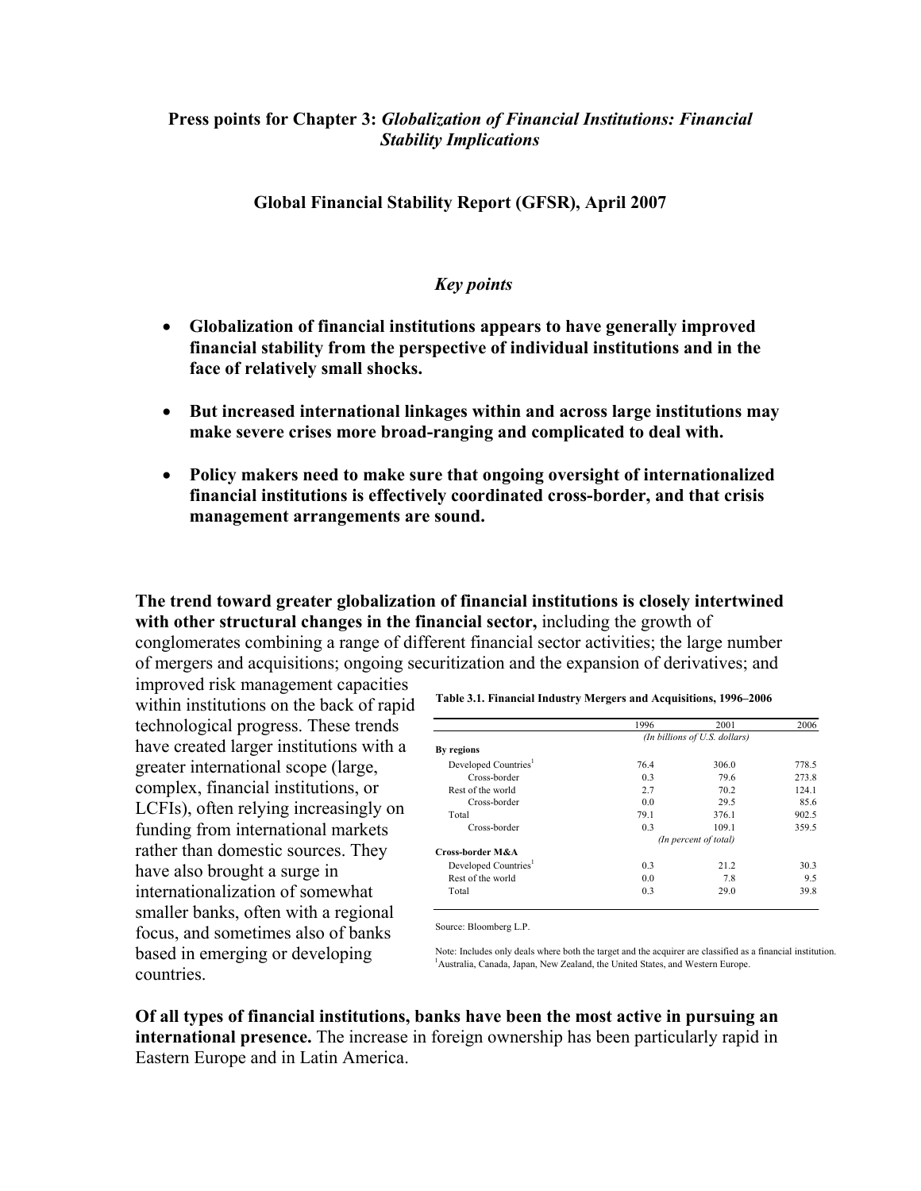## **Press points for Chapter 3:** *Globalization of Financial Institutions: Financial Stability Implications*

## **Global Financial Stability Report (GFSR), April 2007**

## *Key points*

- **Globalization of financial institutions appears to have generally improved financial stability from the perspective of individual institutions and in the face of relatively small shocks.**
- **But increased international linkages within and across large institutions may make severe crises more broad-ranging and complicated to deal with.**
- **Policy makers need to make sure that ongoing oversight of internationalized financial institutions is effectively coordinated cross-border, and that crisis management arrangements are sound.**

**The trend toward greater globalization of financial institutions is closely intertwined with other structural changes in the financial sector,** including the growth of conglomerates combining a range of different financial sector activities; the large number of mergers and acquisitions; ongoing securitization and the expansion of derivatives; and

improved risk management capacities within institutions on the back of rapid technological progress. These trends have created larger institutions with a greater international scope (large, complex, financial institutions, or LCFIs), often relying increasingly on funding from international markets rather than domestic sources. They have also brought a surge in internationalization of somewhat smaller banks, often with a regional focus, and sometimes also of banks based in emerging or developing countries.

**Table 3.1. Financial Industry Mergers and Acquisitions, 1996–2006**

|                                  | 1996                          | 2001  | 2006  |
|----------------------------------|-------------------------------|-------|-------|
|                                  | (In billions of U.S. dollars) |       |       |
| By regions                       |                               |       |       |
| Developed Countries <sup>1</sup> | 764                           | 306.0 | 778.5 |
| Cross-border                     | 0 <sub>3</sub>                | 79.6  | 273.8 |
| Rest of the world                | 27                            | 70 2  | 124.1 |
| Cross-border                     | 0.0                           | 29.5  | 85.6  |
| Total                            | 79.1                          | 376.1 | 902.5 |
| Cross-border                     | 0 <sup>3</sup>                | 109.1 | 359.5 |
|                                  | (In percent of total)         |       |       |
| Cross-border M&A                 |                               |       |       |
| Developed Countries <sup>1</sup> | 0 <sub>3</sub>                | 21 2  | 30.3  |
| Rest of the world                | 0 <sub>0</sub>                | 78    | 9.5   |
| Total                            | 0 <sub>3</sub>                | 29.0  | 39.8  |

Source: Bloomberg L.P.

Note: Includes only deals where both the target and the acquirer are classified as a financial institution. <sup>1</sup> Australia, Canada, Japan, New Zealand, the United States, and Western Europe.

**Of all types of financial institutions, banks have been the most active in pursuing an international presence.** The increase in foreign ownership has been particularly rapid in Eastern Europe and in Latin America.